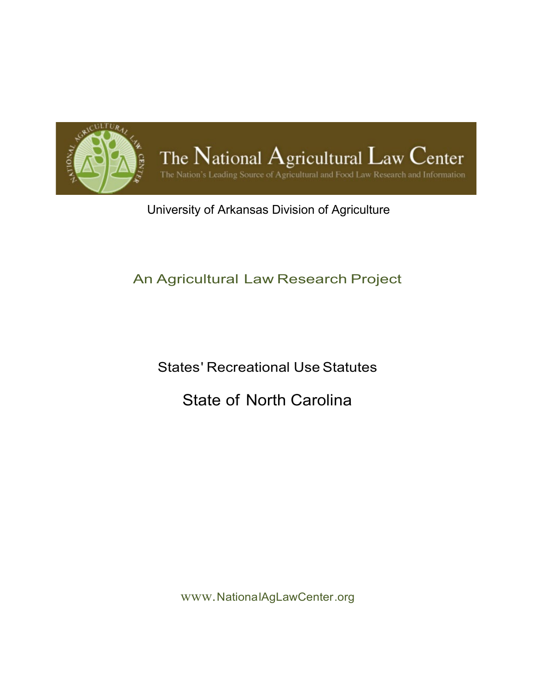

# University of Arkansas Division of Agriculture

# An Agricultural Law Research Project

States' Recreational Use Statutes

# State of North Carolina

www.NationalAgLawCenter.org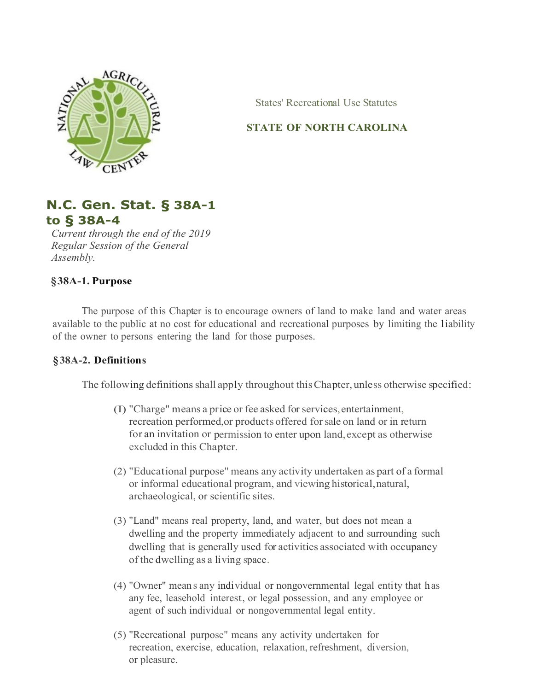

States' Recreational Use Statutes

## **STATE OF NORTH CAROLINA**



*Current through the end of the 2019 Regular Session of the General Assembly.*

## **§38A-1. Purpose**

The purpose of this Chapter is to encourage owners of land to make land and water areas available to the public at no cost for educational and recreational purposes by limiting the liability of the owner to persons entering the land for those purposes.

### **§38A-2. Definitions**

The following definitions shall apply throughout this Chapter, unless otherwise specified:

- (I) "Charge" means a price or fee asked for services,entertainment, recreation performed,or products offered forsale on land or in return for an invitation or permission to enter upon land,except as otherwise excluded in this Chapter.
- (2) "Educational purpose" means any activity undertaken as part of a formal or informal educational program, and viewing historical,natural, archaeological, or scientific sites.
- (3) "Land" means real property, land, and water, but does not mean a dwelling and the property immediately adjacent to and surrounding such dwelling that is generally used for activities associated with occupancy of the dwelling as a living space.
- (4) "Owner" mean s any individual or nongovernmental legal entity that has any fee, leasehold interest, or legal possession, and any employee or agent of such individual or nongovernmental legal entity.
- (5) "Recreational purpose" means any activity undertaken for recreation, exercise, education, relaxation, refreshment, diversion, or pleasure.